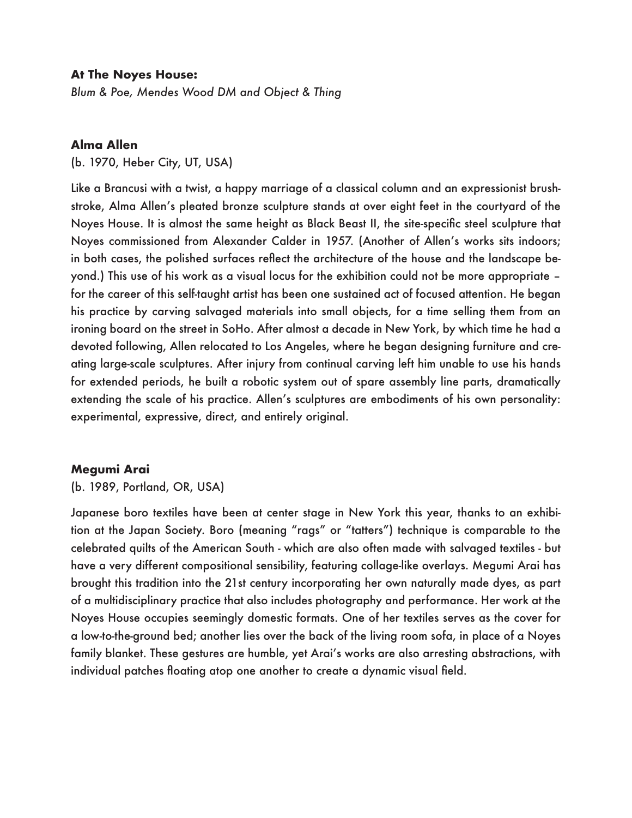### **At The Noyes House:**

*Blum & Poe, Mendes Wood DM and Object & Thing* 

### **Alma Allen**

(b. 1970, Heber City, UT, USA)

Like a Brancusi with a twist, a happy marriage of a classical column and an expressionist brushstroke, Alma Allen's pleated bronze sculpture stands at over eight feet in the courtyard of the Noyes House. It is almost the same height as Black Beast II, the site-specific steel sculpture that Noyes commissioned from Alexander Calder in 1957. (Another of Allen's works sits indoors; in both cases, the polished surfaces reflect the architecture of the house and the landscape beyond.) This use of his work as a visual locus for the exhibition could not be more appropriate – for the career of this self-taught artist has been one sustained act of focused attention. He began his practice by carving salvaged materials into small objects, for a time selling them from an ironing board on the street in SoHo. After almost a decade in New York, by which time he had a devoted following, Allen relocated to Los Angeles, where he began designing furniture and creating large-scale sculptures. After injury from continual carving left him unable to use his hands for extended periods, he built a robotic system out of spare assembly line parts, dramatically extending the scale of his practice. Allen's sculptures are embodiments of his own personality: experimental, expressive, direct, and entirely original.

### **Megumi Arai**

(b. 1989, Portland, OR, USA)

Japanese boro textiles have been at center stage in New York this year, thanks to an exhibition at the Japan Society. Boro (meaning "rags" or "tatters") technique is comparable to the celebrated quilts of the American South - which are also often made with salvaged textiles - but have a very different compositional sensibility, featuring collage-like overlays. Megumi Arai has brought this tradition into the 21st century incorporating her own naturally made dyes, as part of a multidisciplinary practice that also includes photography and performance. Her work at the Noyes House occupies seemingly domestic formats. One of her textiles serves as the cover for a low-to-the-ground bed; another lies over the back of the living room sofa, in place of a Noyes family blanket. These gestures are humble, yet Arai's works are also arresting abstractions, with individual patches floating atop one another to create a dynamic visual field.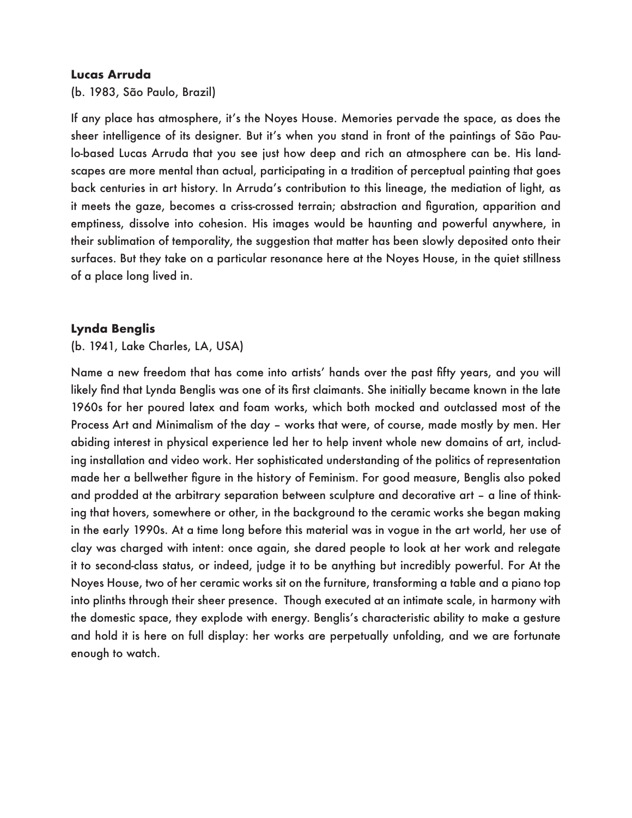# **Lucas Arruda**

(b. 1983, São Paulo, Brazil)

If any place has atmosphere, it's the Noyes House. Memories pervade the space, as does the sheer intelligence of its designer. But it's when you stand in front of the paintings of São Paulo-based Lucas Arruda that you see just how deep and rich an atmosphere can be. His landscapes are more mental than actual, participating in a tradition of perceptual painting that goes back centuries in art history. In Arruda's contribution to this lineage, the mediation of light, as it meets the gaze, becomes a criss-crossed terrain; abstraction and figuration, apparition and emptiness, dissolve into cohesion. His images would be haunting and powerful anywhere, in their sublimation of temporality, the suggestion that matter has been slowly deposited onto their surfaces. But they take on a particular resonance here at the Noyes House, in the quiet stillness of a place long lived in.

# **Lynda Benglis**

(b. 1941, Lake Charles, LA, USA)

Name a new freedom that has come into artists' hands over the past fifty years, and you will likely find that Lynda Benglis was one of its first claimants. She initially became known in the late 1960s for her poured latex and foam works, which both mocked and outclassed most of the Process Art and Minimalism of the day – works that were, of course, made mostly by men. Her abiding interest in physical experience led her to help invent whole new domains of art, including installation and video work. Her sophisticated understanding of the politics of representation made her a bellwether figure in the history of Feminism. For good measure, Benglis also poked and prodded at the arbitrary separation between sculpture and decorative art – a line of thinking that hovers, somewhere or other, in the background to the ceramic works she began making in the early 1990s. At a time long before this material was in vogue in the art world, her use of clay was charged with intent: once again, she dared people to look at her work and relegate it to second-class status, or indeed, judge it to be anything but incredibly powerful. For At the Noyes House, two of her ceramic works sit on the furniture, transforming a table and a piano top into plinths through their sheer presence. Though executed at an intimate scale, in harmony with the domestic space, they explode with energy. Benglis's characteristic ability to make a gesture and hold it is here on full display: her works are perpetually unfolding, and we are fortunate enough to watch.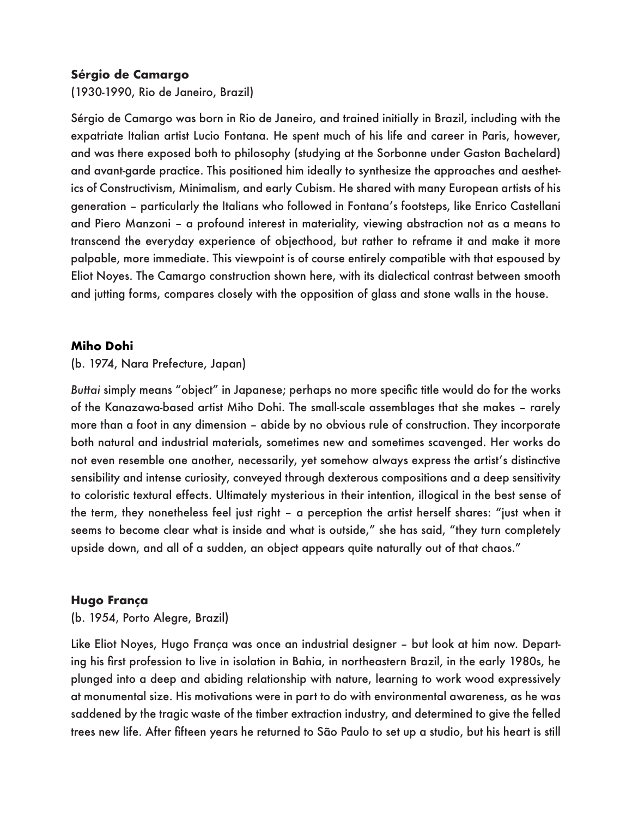# **Sérgio de Camargo**

(1930-1990, Rio de Janeiro, Brazil)

Sérgio de Camargo was born in Rio de Janeiro, and trained initially in Brazil, including with the expatriate Italian artist Lucio Fontana. He spent much of his life and career in Paris, however, and was there exposed both to philosophy (studying at the Sorbonne under Gaston Bachelard) and avant-garde practice. This positioned him ideally to synthesize the approaches and aesthetics of Constructivism, Minimalism, and early Cubism. He shared with many European artists of his generation – particularly the Italians who followed in Fontana's footsteps, like Enrico Castellani and Piero Manzoni – a profound interest in materiality, viewing abstraction not as a means to transcend the everyday experience of objecthood, but rather to reframe it and make it more palpable, more immediate. This viewpoint is of course entirely compatible with that espoused by Eliot Noyes. The Camargo construction shown here, with its dialectical contrast between smooth and jutting forms, compares closely with the opposition of glass and stone walls in the house.

# **Miho Dohi**

(b. 1974, Nara Prefecture, Japan)

*Buttai* simply means "object" in Japanese; perhaps no more specific title would do for the works of the Kanazawa-based artist Miho Dohi. The small-scale assemblages that she makes – rarely more than a foot in any dimension – abide by no obvious rule of construction. They incorporate both natural and industrial materials, sometimes new and sometimes scavenged. Her works do not even resemble one another, necessarily, yet somehow always express the artist's distinctive sensibility and intense curiosity, conveyed through dexterous compositions and a deep sensitivity to coloristic textural effects. Ultimately mysterious in their intention, illogical in the best sense of the term, they nonetheless feel just right – a perception the artist herself shares: "just when it seems to become clear what is inside and what is outside," she has said, "they turn completely upside down, and all of a sudden, an object appears quite naturally out of that chaos."

# **Hugo França**

(b. 1954, Porto Alegre, Brazil)

Like Eliot Noyes, Hugo França was once an industrial designer – but look at him now. Departing his first profession to live in isolation in Bahia, in northeastern Brazil, in the early 1980s, he plunged into a deep and abiding relationship with nature, learning to work wood expressively at monumental size. His motivations were in part to do with environmental awareness, as he was saddened by the tragic waste of the timber extraction industry, and determined to give the felled trees new life. After fifteen years he returned to São Paulo to set up a studio, but his heart is still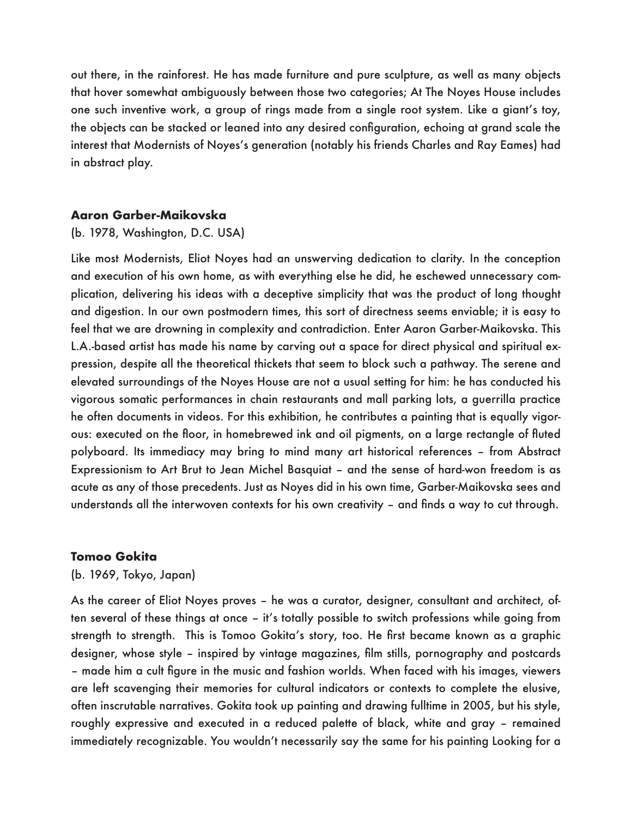out there, in the rainforest. He has made furniture and pure sculpture, as well as many objects that hover somewhat ambiguously between those two categories; At The Noyes House includes one such inventive work, a group of rings made from a single root system. Like a giant's toy, the objects can be stacked or leaned into any desired configuration, echoing at grand scale the interest that Modernists of Noyes's generation (notably his friends Charles and Ray Eames) had in abstract play.

# **Aaron Garber-Maikovska**

### (b. 1978, Washington, D.C. USA)

Like most Modernists, Eliot Noyes had an unswerving dedication to clarity. In the conception and execution of his own home, as with everything else he did, he eschewed unnecessary complication, delivering his ideas with a deceptive simplicity that was the product of long thought and digestion. In our own postmodern times, this sort of directness seems enviable; it is easy to feel that we are drowning in complexity and contradiction. Enter Aaron Garber-Maikovska. This L.A.-based artist has made his name by carving out a space for direct physical and spiritual expression, despite all the theoretical thickets that seem to block such a pathway. The serene and elevated surroundings of the Noyes House are not a usual setting for him: he has conducted his vigorous somatic performances in chain restaurants and mall parking lots, a guerrilla practice he often documents in videos. For this exhibition, he contributes a painting that is equally vigorous: executed on the floor, in homebrewed ink and oil pigments, on a large rectangle of fluted polyboard. Its immediacy may bring to mind many art historical references – from Abstract Expressionism to Art Brut to Jean Michel Basquiat – and the sense of hard-won freedom is as acute as any of those precedents. Just as Noyes did in his own time, Garber-Maikovska sees and understands all the interwoven contexts for his own creativity – and finds a way to cut through.

### **Tomoo Gokita**

### (b. 1969, Tokyo, Japan)

As the career of Eliot Noyes proves – he was a curator, designer, consultant and architect, often several of these things at once – it's totally possible to switch professions while going from strength to strength. This is Tomoo Gokita's story, too. He first became known as a graphic designer, whose style – inspired by vintage magazines, film stills, pornography and postcards – made him a cult figure in the music and fashion worlds. When faced with his images, viewers are left scavenging their memories for cultural indicators or contexts to complete the elusive, often inscrutable narratives. Gokita took up painting and drawing fulltime in 2005, but his style, roughly expressive and executed in a reduced palette of black, white and gray – remained immediately recognizable. You wouldn't necessarily say the same for his painting Looking for a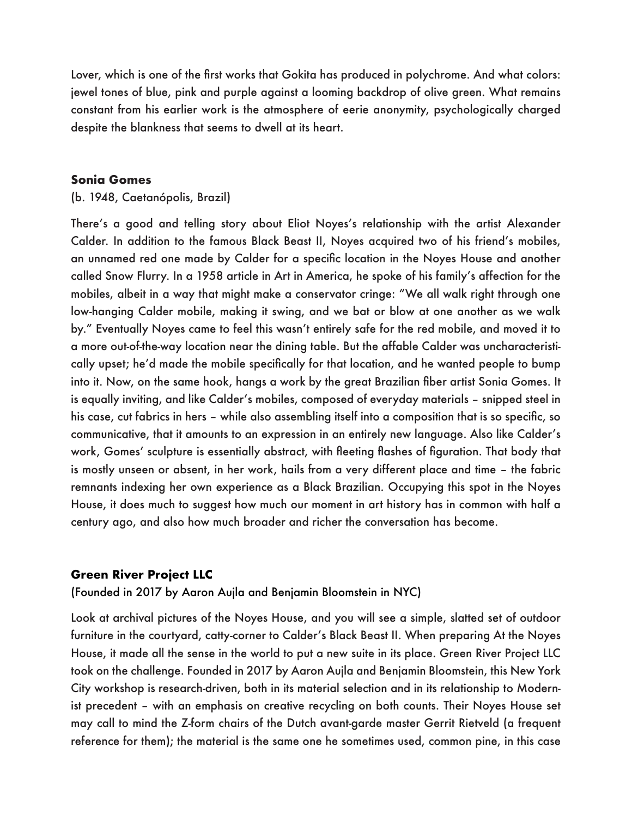Lover, which is one of the first works that Gokita has produced in polychrome. And what colors: jewel tones of blue, pink and purple against a looming backdrop of olive green. What remains constant from his earlier work is the atmosphere of eerie anonymity, psychologically charged despite the blankness that seems to dwell at its heart.

# **Sonia Gomes**

# (b. 1948, Caetanópolis, Brazil)

There's a good and telling story about Eliot Noyes's relationship with the artist Alexander Calder. In addition to the famous Black Beast II, Noyes acquired two of his friend's mobiles, an unnamed red one made by Calder for a specific location in the Noyes House and another called Snow Flurry. In a 1958 article in Art in America, he spoke of his family's affection for the mobiles, albeit in a way that might make a conservator cringe: "We all walk right through one low-hanging Calder mobile, making it swing, and we bat or blow at one another as we walk by." Eventually Noyes came to feel this wasn't entirely safe for the red mobile, and moved it to a more out-of-the-way location near the dining table. But the affable Calder was uncharacteristically upset; he'd made the mobile specifically for that location, and he wanted people to bump into it. Now, on the same hook, hangs a work by the great Brazilian fiber artist Sonia Gomes. It is equally inviting, and like Calder's mobiles, composed of everyday materials – snipped steel in his case, cut fabrics in hers – while also assembling itself into a composition that is so specific, so communicative, that it amounts to an expression in an entirely new language. Also like Calder's work, Gomes' sculpture is essentially abstract, with fleeting flashes of figuration. That body that is mostly unseen or absent, in her work, hails from a very different place and time – the fabric remnants indexing her own experience as a Black Brazilian. Occupying this spot in the Noyes House, it does much to suggest how much our moment in art history has in common with half a century ago, and also how much broader and richer the conversation has become.

# **Green River Project LLC**

(Founded in 2017 by Aaron Aujla and Benjamin Bloomstein in NYC)

Look at archival pictures of the Noyes House, and you will see a simple, slatted set of outdoor furniture in the courtyard, catty-corner to Calder's Black Beast II. When preparing At the Noyes House, it made all the sense in the world to put a new suite in its place. Green River Project LLC took on the challenge. Founded in 2017 by Aaron Aujla and Benjamin Bloomstein, this New York City workshop is research-driven, both in its material selection and in its relationship to Modernist precedent – with an emphasis on creative recycling on both counts. Their Noyes House set may call to mind the Z-form chairs of the Dutch avant-garde master Gerrit Rietveld (a frequent reference for them); the material is the same one he sometimes used, common pine, in this case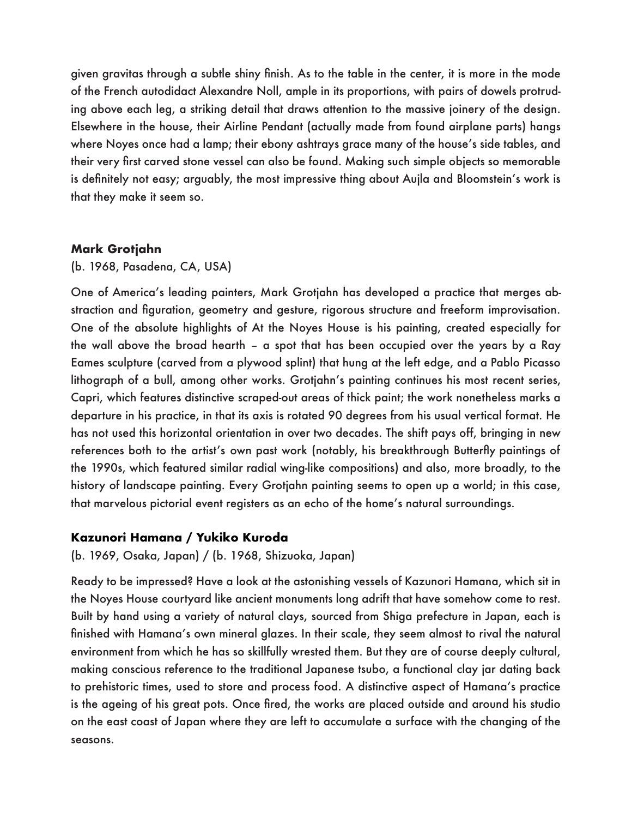given gravitas through a subtle shiny finish. As to the table in the center, it is more in the mode of the French autodidact Alexandre Noll, ample in its proportions, with pairs of dowels protruding above each leg, a striking detail that draws attention to the massive joinery of the design. Elsewhere in the house, their Airline Pendant (actually made from found airplane parts) hangs where Noyes once had a lamp; their ebony ashtrays grace many of the house's side tables, and their very first carved stone vessel can also be found. Making such simple objects so memorable is definitely not easy; arguably, the most impressive thing about Aujla and Bloomstein's work is that they make it seem so.

# **Mark Grotjahn**

# (b. 1968, Pasadena, CA, USA)

One of America's leading painters, Mark Grotjahn has developed a practice that merges abstraction and figuration, geometry and gesture, rigorous structure and freeform improvisation. One of the absolute highlights of At the Noyes House is his painting, created especially for the wall above the broad hearth – a spot that has been occupied over the years by a Ray Eames sculpture (carved from a plywood splint) that hung at the left edge, and a Pablo Picasso lithograph of a bull, among other works. Grotjahn's painting continues his most recent series, Capri, which features distinctive scraped-out areas of thick paint; the work nonetheless marks a departure in his practice, in that its axis is rotated 90 degrees from his usual vertical format. He has not used this horizontal orientation in over two decades. The shift pays off, bringing in new references both to the artist's own past work (notably, his breakthrough Butterfly paintings of the 1990s, which featured similar radial wing-like compositions) and also, more broadly, to the history of landscape painting. Every Grotjahn painting seems to open up a world; in this case, that marvelous pictorial event registers as an echo of the home's natural surroundings.

# **Kazunori Hamana / Yukiko Kuroda**

(b. 1969, Osaka, Japan) / (b. 1968, Shizuoka, Japan)

Ready to be impressed? Have a look at the astonishing vessels of Kazunori Hamana, which sit in the Noyes House courtyard like ancient monuments long adrift that have somehow come to rest. Built by hand using a variety of natural clays, sourced from Shiga prefecture in Japan, each is finished with Hamana's own mineral glazes. In their scale, they seem almost to rival the natural environment from which he has so skillfully wrested them. But they are of course deeply cultural, making conscious reference to the traditional Japanese tsubo, a functional clay jar dating back to prehistoric times, used to store and process food. A distinctive aspect of Hamana's practice is the ageing of his great pots. Once fired, the works are placed outside and around his studio on the east coast of Japan where they are left to accumulate a surface with the changing of the seasons.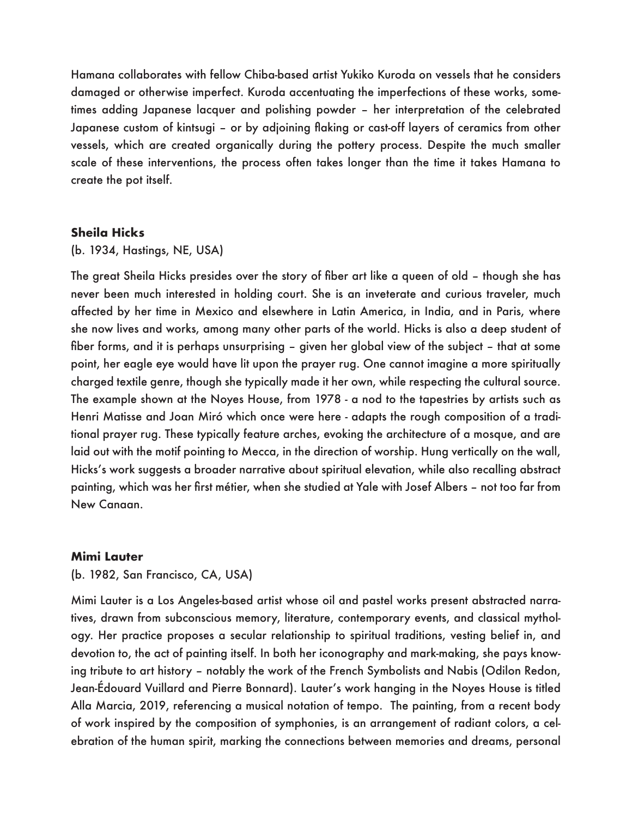Hamana collaborates with fellow Chiba-based artist Yukiko Kuroda on vessels that he considers damaged or otherwise imperfect. Kuroda accentuating the imperfections of these works, sometimes adding Japanese lacquer and polishing powder – her interpretation of the celebrated Japanese custom of kintsugi – or by adjoining flaking or cast-off layers of ceramics from other vessels, which are created organically during the pottery process. Despite the much smaller scale of these interventions, the process often takes longer than the time it takes Hamana to create the pot itself.

# **Sheila Hicks**

### (b. 1934, Hastings, NE, USA)

The great Sheila Hicks presides over the story of fiber art like a queen of old – though she has never been much interested in holding court. She is an inveterate and curious traveler, much affected by her time in Mexico and elsewhere in Latin America, in India, and in Paris, where she now lives and works, among many other parts of the world. Hicks is also a deep student of fiber forms, and it is perhaps unsurprising – given her global view of the subject – that at some point, her eagle eye would have lit upon the prayer rug. One cannot imagine a more spiritually charged textile genre, though she typically made it her own, while respecting the cultural source. The example shown at the Noyes House, from 1978 - a nod to the tapestries by artists such as Henri Matisse and Joan Miró which once were here - adapts the rough composition of a traditional prayer rug. These typically feature arches, evoking the architecture of a mosque, and are laid out with the motif pointing to Mecca, in the direction of worship. Hung vertically on the wall, Hicks's work suggests a broader narrative about spiritual elevation, while also recalling abstract painting, which was her first métier, when she studied at Yale with Josef Albers – not too far from New Canaan.

### **Mimi Lauter**

(b. 1982, San Francisco, CA, USA)

Mimi Lauter is a Los Angeles-based artist whose oil and pastel works present abstracted narratives, drawn from subconscious memory, literature, contemporary events, and classical mythology. Her practice proposes a secular relationship to spiritual traditions, vesting belief in, and devotion to, the act of painting itself. In both her iconography and mark-making, she pays knowing tribute to art history – notably the work of the French Symbolists and Nabis (Odilon Redon, Jean-Édouard Vuillard and Pierre Bonnard). Lauter's work hanging in the Noyes House is titled Alla Marcia, 2019, referencing a musical notation of tempo. The painting, from a recent body of work inspired by the composition of symphonies, is an arrangement of radiant colors, a celebration of the human spirit, marking the connections between memories and dreams, personal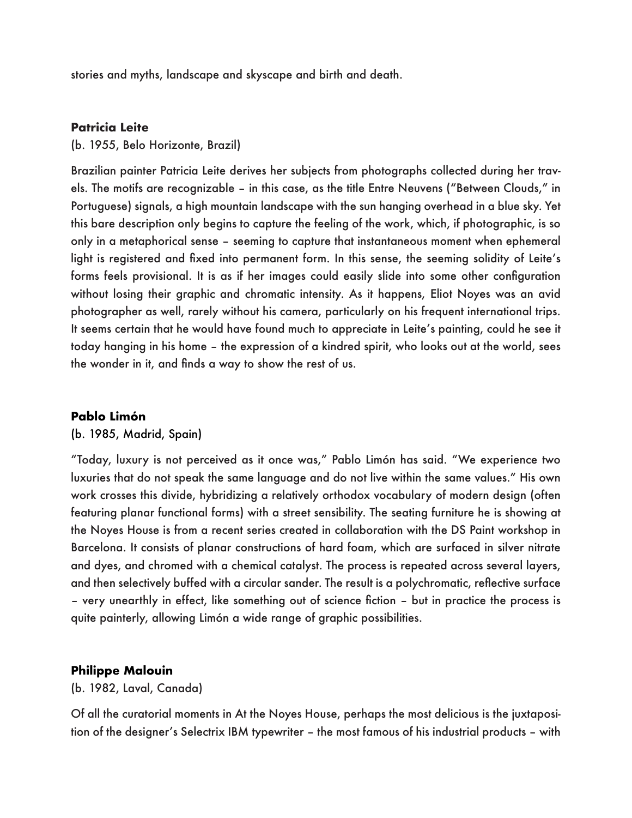stories and myths, landscape and skyscape and birth and death.

# **Patricia Leite**

(b. 1955, Belo Horizonte, Brazil)

Brazilian painter Patricia Leite derives her subjects from photographs collected during her travels. The motifs are recognizable – in this case, as the title Entre Neuvens ("Between Clouds," in Portuguese) signals, a high mountain landscape with the sun hanging overhead in a blue sky. Yet this bare description only begins to capture the feeling of the work, which, if photographic, is so only in a metaphorical sense – seeming to capture that instantaneous moment when ephemeral light is registered and fixed into permanent form. In this sense, the seeming solidity of Leite's forms feels provisional. It is as if her images could easily slide into some other configuration without losing their graphic and chromatic intensity. As it happens, Eliot Noyes was an avid photographer as well, rarely without his camera, particularly on his frequent international trips. It seems certain that he would have found much to appreciate in Leite's painting, could he see it today hanging in his home – the expression of a kindred spirit, who looks out at the world, sees the wonder in it, and finds a way to show the rest of us.

# **Pablo Limón**

### (b. 1985, Madrid, Spain)

"Today, luxury is not perceived as it once was," Pablo Limón has said. "We experience two luxuries that do not speak the same language and do not live within the same values." His own work crosses this divide, hybridizing a relatively orthodox vocabulary of modern design (often featuring planar functional forms) with a street sensibility. The seating furniture he is showing at the Noyes House is from a recent series created in collaboration with the DS Paint workshop in Barcelona. It consists of planar constructions of hard foam, which are surfaced in silver nitrate and dyes, and chromed with a chemical catalyst. The process is repeated across several layers, and then selectively buffed with a circular sander. The result is a polychromatic, reflective surface – very unearthly in effect, like something out of science fiction – but in practice the process is quite painterly, allowing Limón a wide range of graphic possibilities.

### **Philippe Malouin**

(b. 1982, Laval, Canada)

Of all the curatorial moments in At the Noyes House, perhaps the most delicious is the juxtaposition of the designer's Selectrix IBM typewriter – the most famous of his industrial products – with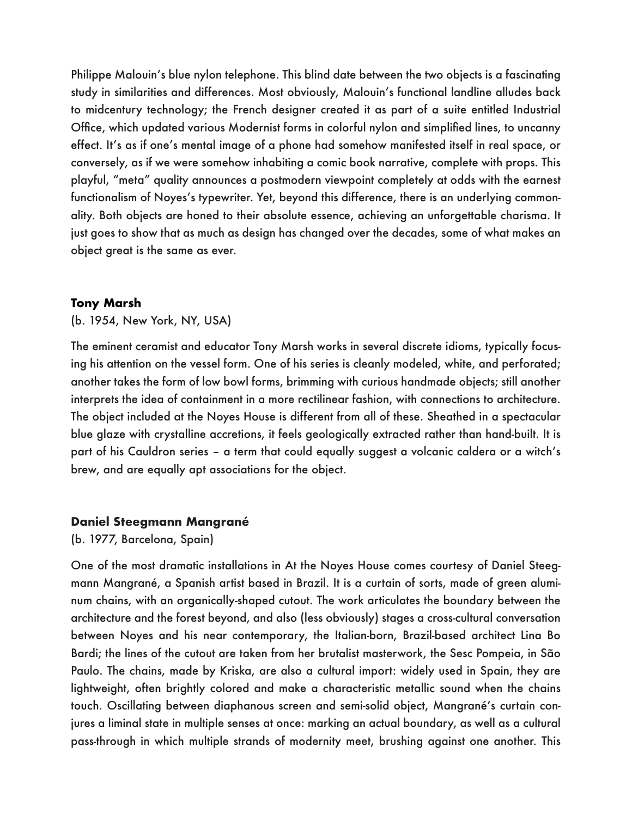Philippe Malouin's blue nylon telephone. This blind date between the two objects is a fascinating study in similarities and differences. Most obviously, Malouin's functional landline alludes back to midcentury technology; the French designer created it as part of a suite entitled Industrial Office, which updated various Modernist forms in colorful nylon and simplified lines, to uncanny effect. It's as if one's mental image of a phone had somehow manifested itself in real space, or conversely, as if we were somehow inhabiting a comic book narrative, complete with props. This playful, "meta" quality announces a postmodern viewpoint completely at odds with the earnest functionalism of Noyes's typewriter. Yet, beyond this difference, there is an underlying commonality. Both objects are honed to their absolute essence, achieving an unforgettable charisma. It just goes to show that as much as design has changed over the decades, some of what makes an object great is the same as ever.

### **Tony Marsh**

(b. 1954, New York, NY, USA)

The eminent ceramist and educator Tony Marsh works in several discrete idioms, typically focusing his attention on the vessel form. One of his series is cleanly modeled, white, and perforated; another takes the form of low bowl forms, brimming with curious handmade objects; still another interprets the idea of containment in a more rectilinear fashion, with connections to architecture. The object included at the Noyes House is different from all of these. Sheathed in a spectacular blue glaze with crystalline accretions, it feels geologically extracted rather than hand-built. It is part of his Cauldron series – a term that could equally suggest a volcanic caldera or a witch's brew, and are equally apt associations for the object.

### **Daniel Steegmann Mangrané**

(b. 1977, Barcelona, Spain)

One of the most dramatic installations in At the Noyes House comes courtesy of Daniel Steegmann Mangrané, a Spanish artist based in Brazil. It is a curtain of sorts, made of green aluminum chains, with an organically-shaped cutout. The work articulates the boundary between the architecture and the forest beyond, and also (less obviously) stages a cross-cultural conversation between Noyes and his near contemporary, the Italian-born, Brazil-based architect Lina Bo Bardi; the lines of the cutout are taken from her brutalist masterwork, the Sesc Pompeia, in São Paulo. The chains, made by Kriska, are also a cultural import: widely used in Spain, they are lightweight, often brightly colored and make a characteristic metallic sound when the chains touch. Oscillating between diaphanous screen and semi-solid object, Mangrané's curtain conjures a liminal state in multiple senses at once: marking an actual boundary, as well as a cultural pass-through in which multiple strands of modernity meet, brushing against one another. This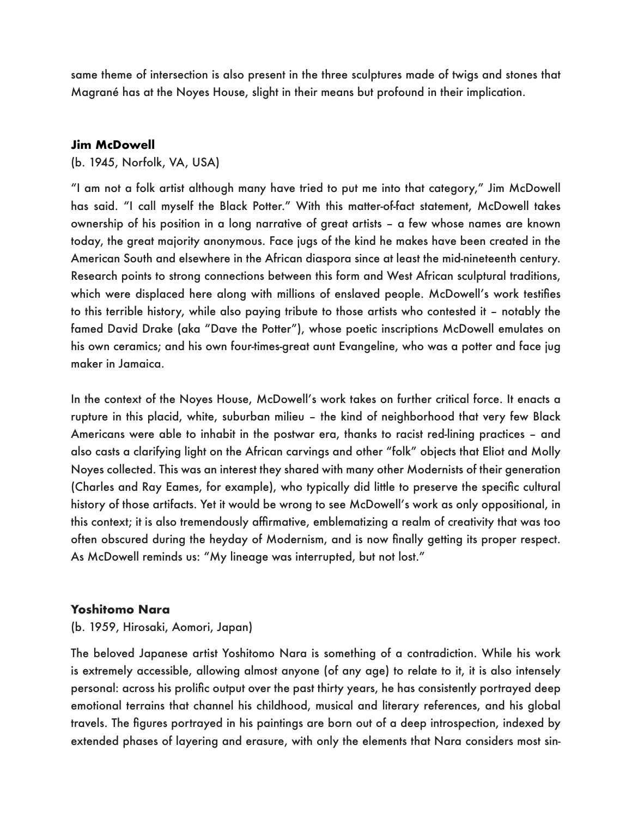same theme of intersection is also present in the three sculptures made of twigs and stones that Magrané has at the Noyes House, slight in their means but profound in their implication.

# **Jim McDowell**

# (b. 1945, Norfolk, VA, USA)

"I am not a folk artist although many have tried to put me into that category," Jim McDowell has said. "I call myself the Black Potter." With this matter-of-fact statement, McDowell takes ownership of his position in a long narrative of great artists – a few whose names are known today, the great majority anonymous. Face jugs of the kind he makes have been created in the American South and elsewhere in the African diaspora since at least the mid-nineteenth century. Research points to strong connections between this form and West African sculptural traditions, which were displaced here along with millions of enslaved people. McDowell's work testifies to this terrible history, while also paying tribute to those artists who contested it – notably the famed David Drake (aka "Dave the Potter"), whose poetic inscriptions McDowell emulates on his own ceramics; and his own four-times-great aunt Evangeline, who was a potter and face jug maker in Jamaica.

In the context of the Noyes House, McDowell's work takes on further critical force. It enacts a rupture in this placid, white, suburban milieu – the kind of neighborhood that very few Black Americans were able to inhabit in the postwar era, thanks to racist red-lining practices – and also casts a clarifying light on the African carvings and other "folk" objects that Eliot and Molly Noyes collected. This was an interest they shared with many other Modernists of their generation (Charles and Ray Eames, for example), who typically did little to preserve the specific cultural history of those artifacts. Yet it would be wrong to see McDowell's work as only oppositional, in this context; it is also tremendously affirmative, emblematizing a realm of creativity that was too often obscured during the heyday of Modernism, and is now finally getting its proper respect. As McDowell reminds us: "My lineage was interrupted, but not lost."

# **Yoshitomo Nara**

# (b. 1959, Hirosaki, Aomori, Japan)

The beloved Japanese artist Yoshitomo Nara is something of a contradiction. While his work is extremely accessible, allowing almost anyone (of any age) to relate to it, it is also intensely personal: across his prolific output over the past thirty years, he has consistently portrayed deep emotional terrains that channel his childhood, musical and literary references, and his global travels. The figures portrayed in his paintings are born out of a deep introspection, indexed by extended phases of layering and erasure, with only the elements that Nara considers most sin-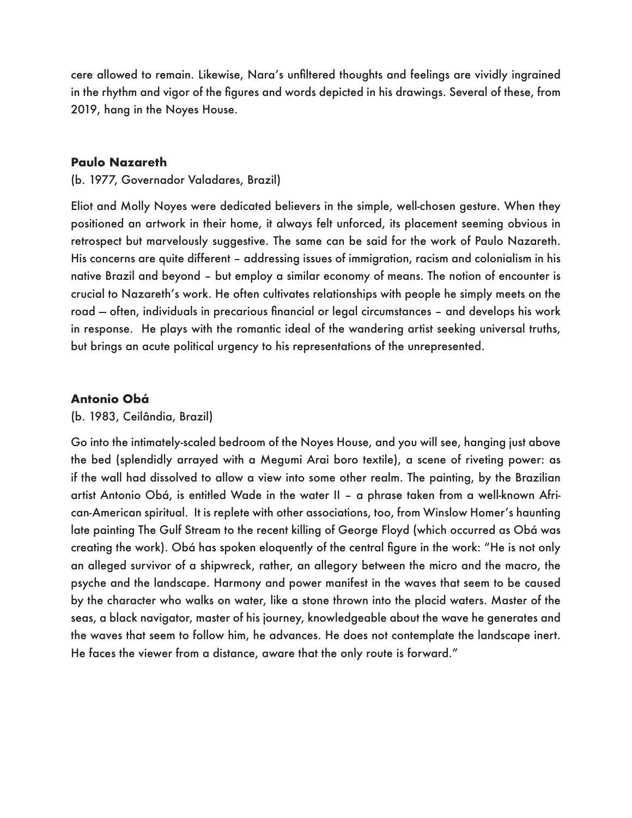cere allowed to remain. Likewise, Nara's unfiltered thoughts and feelings are vividly ingrained in the rhythm and vigor of the figures and words depicted in his drawings. Several of these, from 2019, hang in the Noyes House.

# **Paulo Nazareth**

(b. 1977, Governador Valadares, Brazil)

Eliot and Molly Noyes were dedicated believers in the simple, well-chosen gesture. When they positioned an artwork in their home, it always felt unforced, its placement seeming obvious in retrospect but marvelously suggestive. The same can be said for the work of Paulo Nazareth. His concerns are quite different – addressing issues of immigration, racism and colonialism in his native Brazil and beyond – but employ a similar economy of means. The notion of encounter is crucial to Nazareth's work. He often cultivates relationships with people he simply meets on the road — often, individuals in precarious financial or legal circumstances – and develops his work in response. He plays with the romantic ideal of the wandering artist seeking universal truths, but brings an acute political urgency to his representations of the unrepresented.

# **Antonio Obá**

(b. 1983, Ceilândia, Brazil)

Go into the intimately-scaled bedroom of the Noyes House, and you will see, hanging just above the bed (splendidly arrayed with a Megumi Arai boro textile), a scene of riveting power: as if the wall had dissolved to allow a view into some other realm. The painting, by the Brazilian artist Antonio Obá, is entitled Wade in the water II – a phrase taken from a well-known African-American spiritual. It is replete with other associations, too, from Winslow Homer's haunting late painting The Gulf Stream to the recent killing of George Floyd (which occurred as Obá was creating the work). Obá has spoken eloquently of the central figure in the work: "He is not only an alleged survivor of a shipwreck, rather, an allegory between the micro and the macro, the psyche and the landscape. Harmony and power manifest in the waves that seem to be caused by the character who walks on water, like a stone thrown into the placid waters. Master of the seas, a black navigator, master of his journey, knowledgeable about the wave he generates and the waves that seem to follow him, he advances. He does not contemplate the landscape inert. He faces the viewer from a distance, aware that the only route is forward."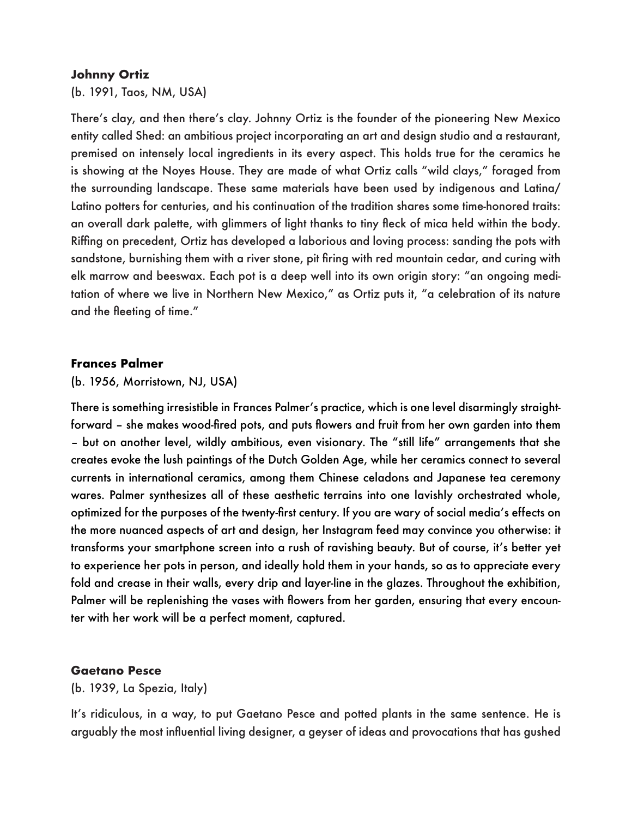## **Johnny Ortiz**

(b. 1991, Taos, NM, USA)

There's clay, and then there's clay. Johnny Ortiz is the founder of the pioneering New Mexico entity called Shed: an ambitious project incorporating an art and design studio and a restaurant, premised on intensely local ingredients in its every aspect. This holds true for the ceramics he is showing at the Noyes House. They are made of what Ortiz calls "wild clays," foraged from the surrounding landscape. These same materials have been used by indigenous and Latina/ Latino potters for centuries, and his continuation of the tradition shares some time-honored traits: an overall dark palette, with glimmers of light thanks to tiny fleck of mica held within the body. Riffing on precedent, Ortiz has developed a laborious and loving process: sanding the pots with sandstone, burnishing them with a river stone, pit firing with red mountain cedar, and curing with elk marrow and beeswax. Each pot is a deep well into its own origin story: "an ongoing meditation of where we live in Northern New Mexico," as Ortiz puts it, "a celebration of its nature and the fleeting of time."

# **Frances Palmer**

(b. 1956, Morristown, NJ, USA)

There is something irresistible in Frances Palmer's practice, which is one level disarmingly straightforward – she makes wood-fired pots, and puts flowers and fruit from her own garden into them – but on another level, wildly ambitious, even visionary. The "still life" arrangements that she creates evoke the lush paintings of the Dutch Golden Age, while her ceramics connect to several currents in international ceramics, among them Chinese celadons and Japanese tea ceremony wares. Palmer synthesizes all of these aesthetic terrains into one lavishly orchestrated whole, optimized for the purposes of the twenty-first century. If you are wary of social media's effects on the more nuanced aspects of art and design, her Instagram feed may convince you otherwise: it transforms your smartphone screen into a rush of ravishing beauty. But of course, it's better yet to experience her pots in person, and ideally hold them in your hands, so as to appreciate every fold and crease in their walls, every drip and layer-line in the glazes. Throughout the exhibition, Palmer will be replenishing the vases with flowers from her garden, ensuring that every encounter with her work will be a perfect moment, captured.

# **Gaetano Pesce**

(b. 1939, La Spezia, Italy)

It's ridiculous, in a way, to put Gaetano Pesce and potted plants in the same sentence. He is arguably the most influential living designer, a geyser of ideas and provocations that has gushed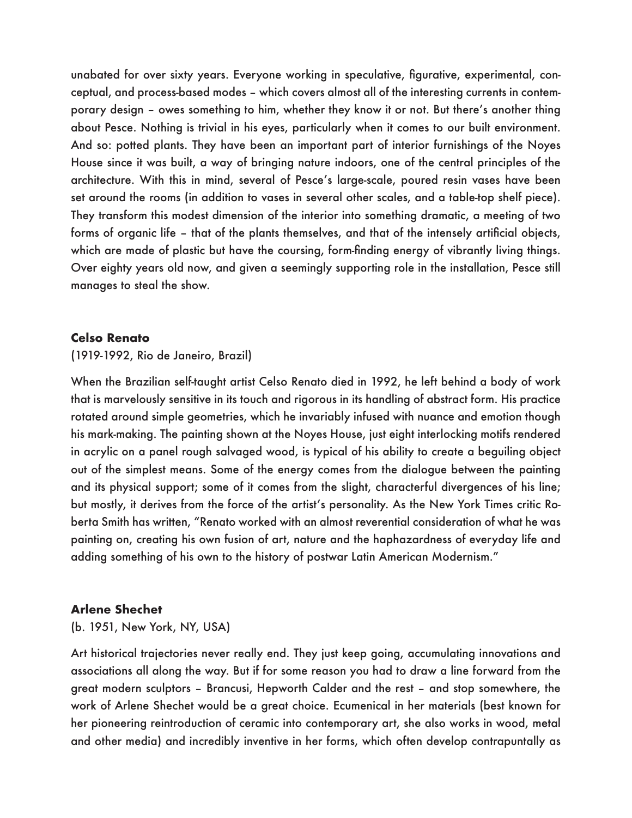unabated for over sixty years. Everyone working in speculative, figurative, experimental, conceptual, and process-based modes – which covers almost all of the interesting currents in contemporary design – owes something to him, whether they know it or not. But there's another thing about Pesce. Nothing is trivial in his eyes, particularly when it comes to our built environment. And so: potted plants. They have been an important part of interior furnishings of the Noyes House since it was built, a way of bringing nature indoors, one of the central principles of the architecture. With this in mind, several of Pesce's large-scale, poured resin vases have been set around the rooms (in addition to vases in several other scales, and a table-top shelf piece). They transform this modest dimension of the interior into something dramatic, a meeting of two forms of organic life – that of the plants themselves, and that of the intensely artificial objects, which are made of plastic but have the coursing, form-finding energy of vibrantly living things. Over eighty years old now, and given a seemingly supporting role in the installation, Pesce still manages to steal the show.

### **Celso Renato**

### (1919-1992, Rio de Janeiro, Brazil)

When the Brazilian self-taught artist Celso Renato died in 1992, he left behind a body of work that is marvelously sensitive in its touch and rigorous in its handling of abstract form. His practice rotated around simple geometries, which he invariably infused with nuance and emotion though his mark-making. The painting shown at the Noyes House, just eight interlocking motifs rendered in acrylic on a panel rough salvaged wood, is typical of his ability to create a beguiling object out of the simplest means. Some of the energy comes from the dialogue between the painting and its physical support; some of it comes from the slight, characterful divergences of his line; but mostly, it derives from the force of the artist's personality. As the New York Times critic Roberta Smith has written, "Renato worked with an almost reverential consideration of what he was painting on, creating his own fusion of art, nature and the haphazardness of everyday life and adding something of his own to the history of postwar Latin American Modernism."

### **Arlene Shechet**

### (b. 1951, New York, NY, USA)

Art historical trajectories never really end. They just keep going, accumulating innovations and associations all along the way. But if for some reason you had to draw a line forward from the great modern sculptors – Brancusi, Hepworth Calder and the rest – and stop somewhere, the work of Arlene Shechet would be a great choice. Ecumenical in her materials (best known for her pioneering reintroduction of ceramic into contemporary art, she also works in wood, metal and other media) and incredibly inventive in her forms, which often develop contrapuntally as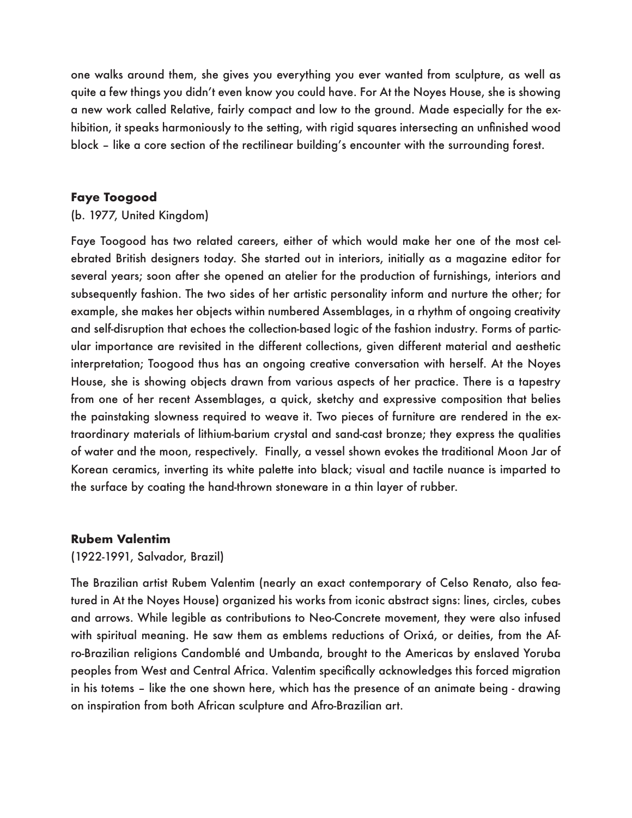one walks around them, she gives you everything you ever wanted from sculpture, as well as quite a few things you didn't even know you could have. For At the Noyes House, she is showing a new work called Relative, fairly compact and low to the ground. Made especially for the exhibition, it speaks harmoniously to the setting, with rigid squares intersecting an unfinished wood block – like a core section of the rectilinear building's encounter with the surrounding forest.

# **Faye Toogood**

# (b. 1977, United Kingdom)

Faye Toogood has two related careers, either of which would make her one of the most celebrated British designers today. She started out in interiors, initially as a magazine editor for several years; soon after she opened an atelier for the production of furnishings, interiors and subsequently fashion. The two sides of her artistic personality inform and nurture the other; for example, she makes her objects within numbered Assemblages, in a rhythm of ongoing creativity and self-disruption that echoes the collection-based logic of the fashion industry. Forms of particular importance are revisited in the different collections, given different material and aesthetic interpretation; Toogood thus has an ongoing creative conversation with herself. At the Noyes House, she is showing objects drawn from various aspects of her practice. There is a tapestry from one of her recent Assemblages, a quick, sketchy and expressive composition that belies the painstaking slowness required to weave it. Two pieces of furniture are rendered in the extraordinary materials of lithium-barium crystal and sand-cast bronze; they express the qualities of water and the moon, respectively. Finally, a vessel shown evokes the traditional Moon Jar of Korean ceramics, inverting its white palette into black; visual and tactile nuance is imparted to the surface by coating the hand-thrown stoneware in a thin layer of rubber.

# **Rubem Valentim**

# (1922-1991, Salvador, Brazil)

The Brazilian artist Rubem Valentim (nearly an exact contemporary of Celso Renato, also featured in At the Noyes House) organized his works from iconic abstract signs: lines, circles, cubes and arrows. While legible as contributions to Neo-Concrete movement, they were also infused with spiritual meaning. He saw them as emblems reductions of Orixá, or deities, from the Afro-Brazilian religions Candomblé and Umbanda, brought to the Americas by enslaved Yoruba peoples from West and Central Africa. Valentim specifically acknowledges this forced migration in his totems – like the one shown here, which has the presence of an animate being - drawing on inspiration from both African sculpture and Afro-Brazilian art.